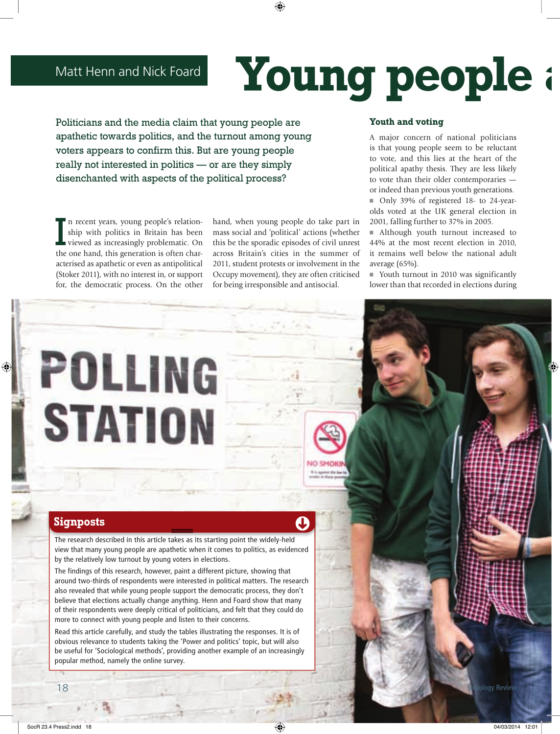# Matt Henn and Nick Foard **Young people**

Politicians and the media claim that young people are apathetic towards politics, and the turnout among young voters appears to confirm this. But are young people really not interested in politics — or are they simply disenchanted with aspects of the political process?

In recent years, young people's relation-<br>ship with politics in Britain has been<br>viewed as increasingly problematic. On<br>the one hand, this generation is often charn recent years, young people's relationship with politics in Britain has been viewed as increasingly problematic. On acterised as apathetic or even as antipolitical (Stoker 2011), with no interest in, or support for, the democratic process. On the other

hand, when young people do take part in mass social and 'political' actions (whether this be the sporadic episodes of civil unrest across Britain's cities in the summer of 2011, student protests or involvement in the Occupy movement), they are often criticised for being irresponsible and antisocial.

#### **Youth and voting**

A major concern of national politicians is that young people seem to be reluctant to vote, and this lies at the heart of the political apathy thesis. They are less likely to vote than their older contemporaries or indeed than previous youth generations. ■ Only 39% of registered 18- to 24-yearolds voted at the UK general election in 2001, falling further to 37% in 2005.

■ Although youth turnout increased to 44% at the most recent election in 2010, it remains well below the national adult average (65%).

■ Youth turnout in 2010 was significantly lower than that recorded in elections during

# POLLING **STATION**

### **Signposts**

The research described in this article takes as its starting point the widely-held view that many young people are apathetic when it comes to politics, as evidenced by the relatively low turnout by young voters in elections.

The findings of this research, however, paint a different picture, showing that around two-thirds of respondents were interested in political matters. The research also revealed that while young people support the democratic process, they don't believe that elections actually change anything. Henn and Foard show that many of their respondents were deeply critical of politicians, and felt that they could do more to connect with young people and listen to their concerns.

Read this article carefully, and study the tables illustrating the responses. It is of obvious relevance to students taking the 'Power and politics' topic, but will also be useful for 'Sociological methods', providing another example of an increasingly popular method, namely the online survey.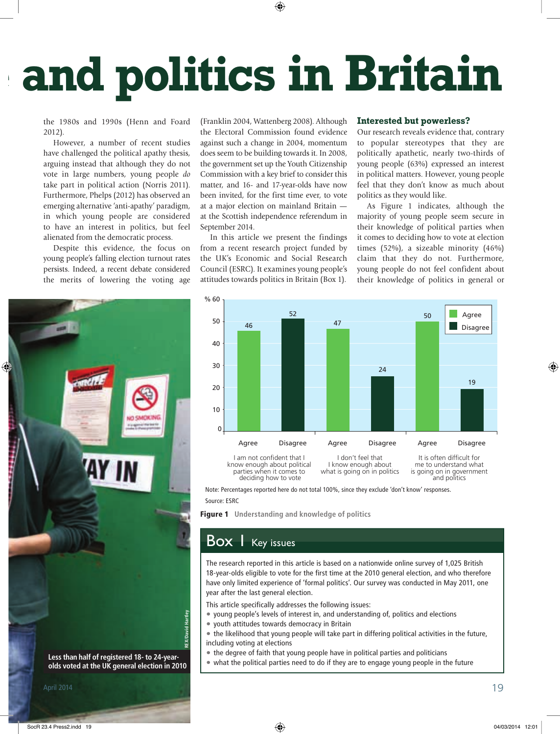## and politics in Britain

the 1980s and 1990s (Henn and Foard 2012).

However, a number of recent studies have challenged the political apathy thesis, arguing instead that although they do not vote in large numbers, young people *do* take part in political action (Norris 2011). Furthermore, Phelps (2012) has observed an emerging alternative 'anti-apathy' paradigm, in which young people are considered to have an interest in politics, but feel alienated from the democratic process.

Despite this evidence, the focus on young people's falling election turnout rates persists. Indeed, a recent debate considered the merits of lowering the voting age

**REX/David Hartley** EX/David Hartley **Less than half of registered 18- to 24-yearolds voted at the UK general election in 2010**

(Franklin 2004, Wattenberg 2008). Although the Electoral Commission found evidence against such a change in 2004, momentum does seem to be building towards it. In 2008, the government set up the Youth Citizenship Commission with a key brief to consider this matter, and 16- and 17-year-olds have now been invited, for the first time ever, to vote at a major election on mainland Britain at the Scottish independence referendum in September 2014.

In this article we present the findings from a recent research project funded by the UK's Economic and Social Research Council (ESRC). It examines young people's attitudes towards politics in Britain (Box 1).

#### **Interested but powerless?**

Our research reveals evidence that, contrary to popular stereotypes that they are politically apathetic, nearly two-thirds of young people (63%) expressed an interest in political matters. However, young people feel that they don't know as much about politics as they would like.

As Figure 1 indicates, although the majority of young people seem secure in their knowledge of political parties when it comes to deciding how to vote at election times (52%), a sizeable minority (46%) claim that they do not. Furthermore, young people do not feel confident about their knowledge of politics in general or



Note: Percentages reported here do not total 100%, since they exclude 'don't know' responses. Source: ESRC

Figure 1 **Understanding and knowledge of politics**

## Box | Key issues

The research reported in this article is based on a nationwide online survey of 1,025 British 18-year-olds eligible to vote for the first time at the 2010 general election, and who therefore have only limited experience of 'formal politics'. Our survey was conducted in May 2011, one year after the last general election.

This article specifically addresses the following issues:

- young people's levels of interest in, and understanding of, politics and elections
- youth attitudes towards democracy in Britain
- the likelihood that young people will take part in differing political activities in the future, including voting at elections
- the degree of faith that young people have in political parties and politicians
- what the political parties need to do if they are to engage young people in the future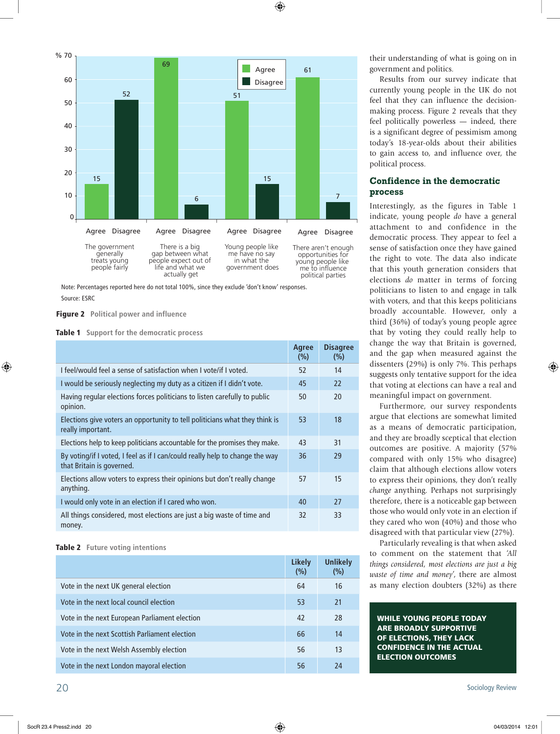

Note: Percentages reported here do not total 100%, since they exclude 'don't know' responses. Source: ESRC

#### Figure 2 **Political power and influence**

#### Table 1 **Support for the democratic process**

|                                                                                                           | Agree<br>(%) | <b>Disagree</b><br>(%) |
|-----------------------------------------------------------------------------------------------------------|--------------|------------------------|
| I feel/would feel a sense of satisfaction when I vote/if I voted.                                         | 52           | 14                     |
| I would be seriously neglecting my duty as a citizen if I didn't vote.                                    | 45           | 22                     |
| Having regular elections forces politicians to listen carefully to public<br>opinion.                     | 50           | 20                     |
| Elections give voters an opportunity to tell politicians what they think is<br>really important.          | 53           | 18                     |
| Elections help to keep politicians accountable for the promises they make.                                | 43           | 31                     |
| By voting/if I voted, I feel as if I can/could really help to change the way<br>that Britain is governed. | 36           | 29                     |
| Elections allow voters to express their opinions but don't really change<br>anything.                     | 57           | 15                     |
| I would only vote in an election if I cared who won.                                                      | 40           | 27                     |
| All things considered, most elections are just a big waste of time and<br>money.                          | 32           | 33                     |

Table 2 **Future voting intentions** 

|                                               | <b>Likely</b><br>(%) | <b>Unlikely</b><br>(%) |
|-----------------------------------------------|----------------------|------------------------|
| Vote in the next UK general election          | 64                   | 16                     |
| Vote in the next local council election       | 53                   | 21                     |
| Vote in the next European Parliament election | 42                   | 28                     |
| Vote in the next Scottish Parliament election | 66                   | 14                     |
| Vote in the next Welsh Assembly election      | 56                   | 1 <sub>3</sub>         |
| Vote in the next London mayoral election      | 56                   | 24                     |

their understanding of what is going on in government and politics.

Results from our survey indicate that currently young people in the UK do not feel that they can influence the decisionmaking process. Figure 2 reveals that they feel politically powerless — indeed, there is a significant degree of pessimism among today's 18-year-olds about their abilities to gain access to, and influence over, the political process.

#### **Confidence in the democratic process**

Interestingly, as the figures in Table 1 indicate, young people *do* have a general attachment to and confidence in the democratic process. They appear to feel a sense of satisfaction once they have gained the right to vote. The data also indicate that this youth generation considers that elections *do* matter in terms of forcing politicians to listen to and engage in talk with voters, and that this keeps politicians broadly accountable. However, only a third (36%) of today's young people agree that by voting they could really help to change the way that Britain is governed, and the gap when measured against the dissenters (29%) is only 7%. This perhaps suggests only tentative support for the idea that voting at elections can have a real and meaningful impact on government.

Furthermore, our survey respondents argue that elections are somewhat limited as a means of democratic participation, and they are broadly sceptical that election outcomes are positive. A majority (57% compared with only 15% who disagree) claim that although elections allow voters to express their opinions, they don't really *change* anything. Perhaps not surprisingly therefore, there is a noticeable gap between those who would only vote in an election if they cared who won (40%) and those who disagreed with that particular view (27%).

Particularly revealing is that when asked to comment on the statement that *'All things considered, most elections are just a big waste of time and money*', there are almost as many election doubters (32%) as there

WHILE YOUNG PEOPLE TODAY ARE BROADLY SUPPORTIVE OF ELECTIONS, THEY LACK CONFIDENCE IN THE ACTUAL ELECTION OUTCOMES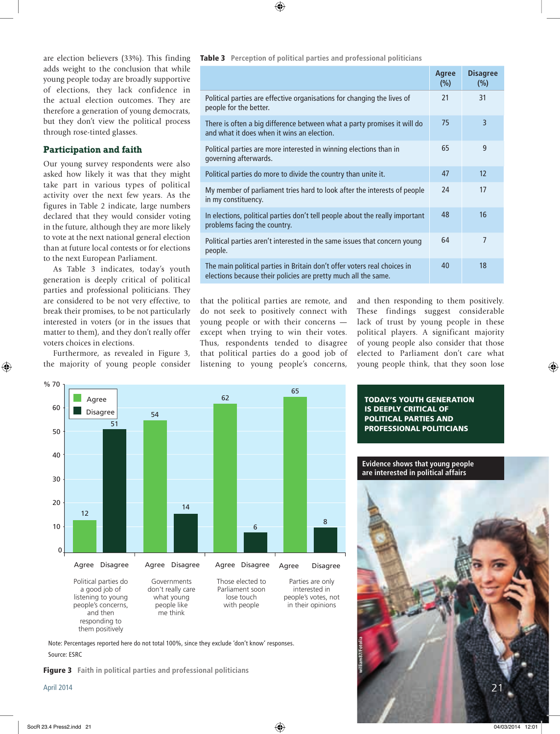are election believers (33%). This finding adds weight to the conclusion that while young people today are broadly supportive of elections, they lack confidence in the actual election outcomes. They are therefore a generation of young democrats, but they don't view the political process through rose-tinted glasses.

#### **Participation and faith**

Our young survey respondents were also asked how likely it was that they might take part in various types of political activity over the next few years. As the figures in Table 2 indicate, large numbers declared that they would consider voting in the future, although they are more likely to vote at the next national general election than at future local contests or for elections to the next European Parliament.

As Table 3 indicates, today's youth generation is deeply critical of political parties and professional politicians. They are considered to be not very effective, to break their promises, to be not particularly interested in voters (or in the issues that matter to them), and they don't really offer voters choices in elections.

Furthermore, as revealed in Figure 3, the majority of young people consider Table 3 **Perception of political parties and professional politicians** 

|                                                                                                                                            | Agree<br>(%) | <b>Disagree</b><br>(%) |
|--------------------------------------------------------------------------------------------------------------------------------------------|--------------|------------------------|
| Political parties are effective organisations for changing the lives of<br>people for the better.                                          | 21           | 31                     |
| There is often a big difference between what a party promises it will do<br>and what it does when it wins an election.                     | 75           | 3                      |
| Political parties are more interested in winning elections than in<br>governing afterwards.                                                | 65           | 9                      |
| Political parties do more to divide the country than unite it.                                                                             | 47           | 12                     |
| My member of parliament tries hard to look after the interests of people<br>in my constituency.                                            | 24           | 17                     |
| In elections, political parties don't tell people about the really important<br>problems facing the country.                               | 48           | 16                     |
| Political parties aren't interested in the same issues that concern young<br>people.                                                       | 64           | $\overline{7}$         |
| The main political parties in Britain don't offer voters real choices in<br>elections because their policies are pretty much all the same. | 40           | 18                     |

that the political parties are remote, and do not seek to positively connect with young people or with their concerns except when trying to win their votes. Thus, respondents tended to disagree that political parties do a good job of listening to young people's concerns, and then responding to them positively. These findings suggest considerable lack of trust by young people in these political players. A significant majority of young people also consider that those elected to Parliament don't care what young people think, that they soon lose



Note: Percentages reported here do not total 100%, since they exclude 'don't know' responses. Source: ESRC

Figure 3 **Faith in political parties and professional politicians**

TODAY'S YOUTH GENERATION IS DEEPLY CRITICAL OF POLITICAL PARTIES AND PROFESSIONAL POLITICIANS